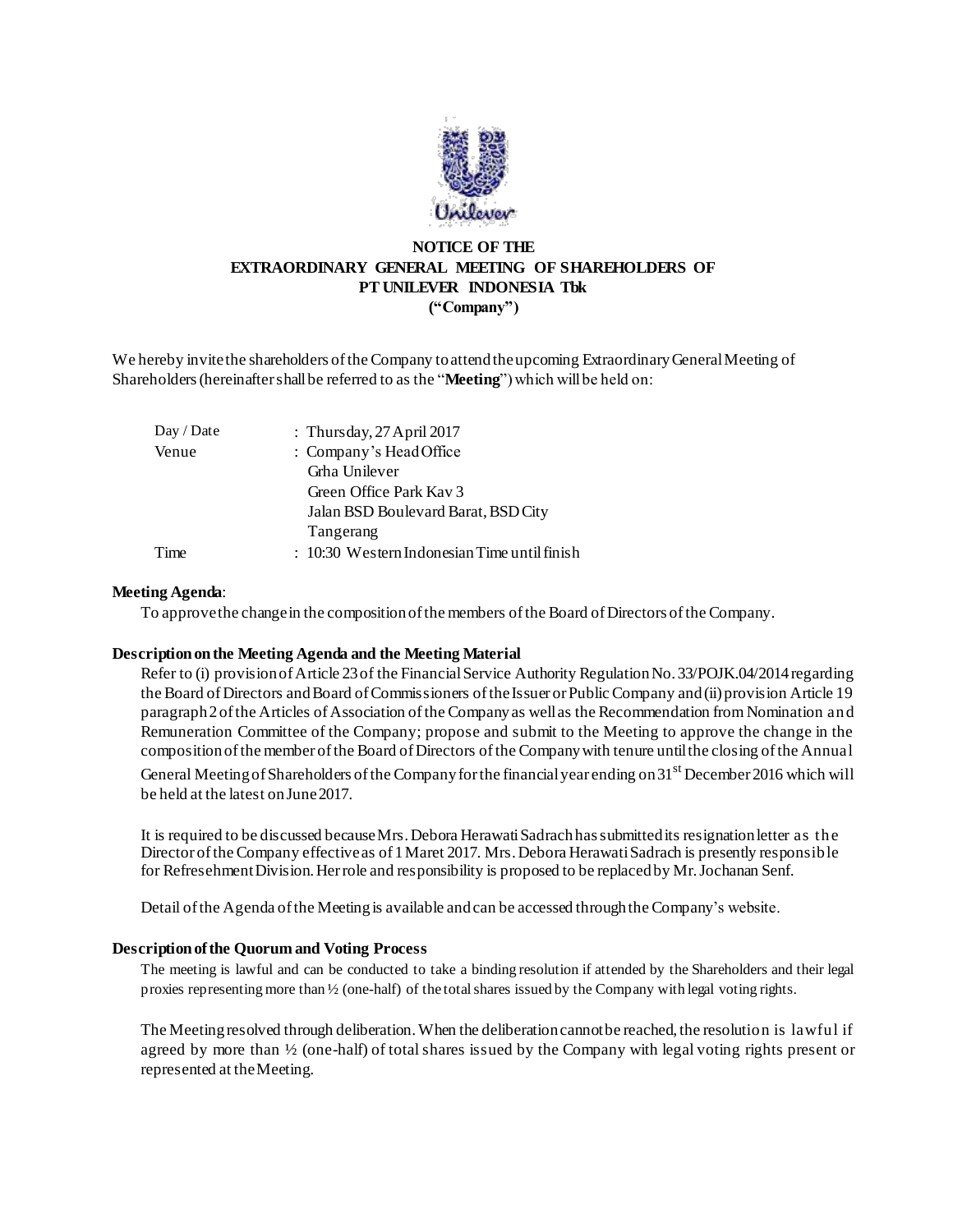

# **NOTICE OF THE EXTRAORDINARY GENERAL MEETING OF SHAREHOLDERS OF PT UNILEVER INDONESIA Tbk ("Company")**

We hereby invite the shareholders of the Company to attend the upcoming Extraordinary General Meeting of Shareholders (hereinafter shall be referred to as the "**Meeting**") which will be held on:

| Day / Date | : Thursday, $27$ April $2017$                  |
|------------|------------------------------------------------|
| Venue      | : Company's Head Office                        |
|            | Grha Unilever                                  |
|            | Green Office Park Kay 3                        |
|            | Jalan BSD Boulevard Barat, BSD City            |
|            | Tangerang                                      |
| Time       | $: 10:30$ Western Indonesian Time until finish |
|            |                                                |

### **Meeting Agenda**:

To approve the change in the composition of the members of the Board of Directors of the Company.

## **Description on the Meeting Agenda and the Meeting Material**

Refer to (i) provision of Article 23 of the Financial Service Authority Regulation No. 33/POJK.04/2014 regarding the Board of Directors and Board of Commissioners of the Issuer or Public Company and (ii) provision Article 19 paragraph 2 of the Articles of Association of the Company as well as the Recommendation from Nomination and Remuneration Committee of the Company; propose and submit to the Meeting to approve the change in the composition of the member of the Board of Directors of the Company with tenure until the closing of the Annual General Meeting of Shareholders of the Company for the financial year ending on  $31<sup>st</sup>$  December 2016 which will be held at the latest on June 2017.

It is required to be discussed because Mrs. Debora Herawati Sadrach has submitted its resignation letter as the Director of the Company effective as of 1 Maret 2017. Mrs. Debora Herawati Sadrach is presently responsible for Refresehment Division. Her role and responsibility is proposed to be replaced by Mr. Jochanan Senf.

Detail of the Agenda of the Meeting is available and can be accessed through the Company's website.

### **Description of the Quorum and Voting Process**

The meeting is lawful and can be conducted to take a binding resolution if attended by the Shareholders and their legal proxies representing more than ½ (one-half) of the total shares issued by the Company with legal voting rights.

The Meeting resolved through deliberation. When the deliberation cannot be reached, the resolution is lawful if agreed by more than ½ (one-half) of total shares issued by the Company with legal voting rights present or represented at the Meeting.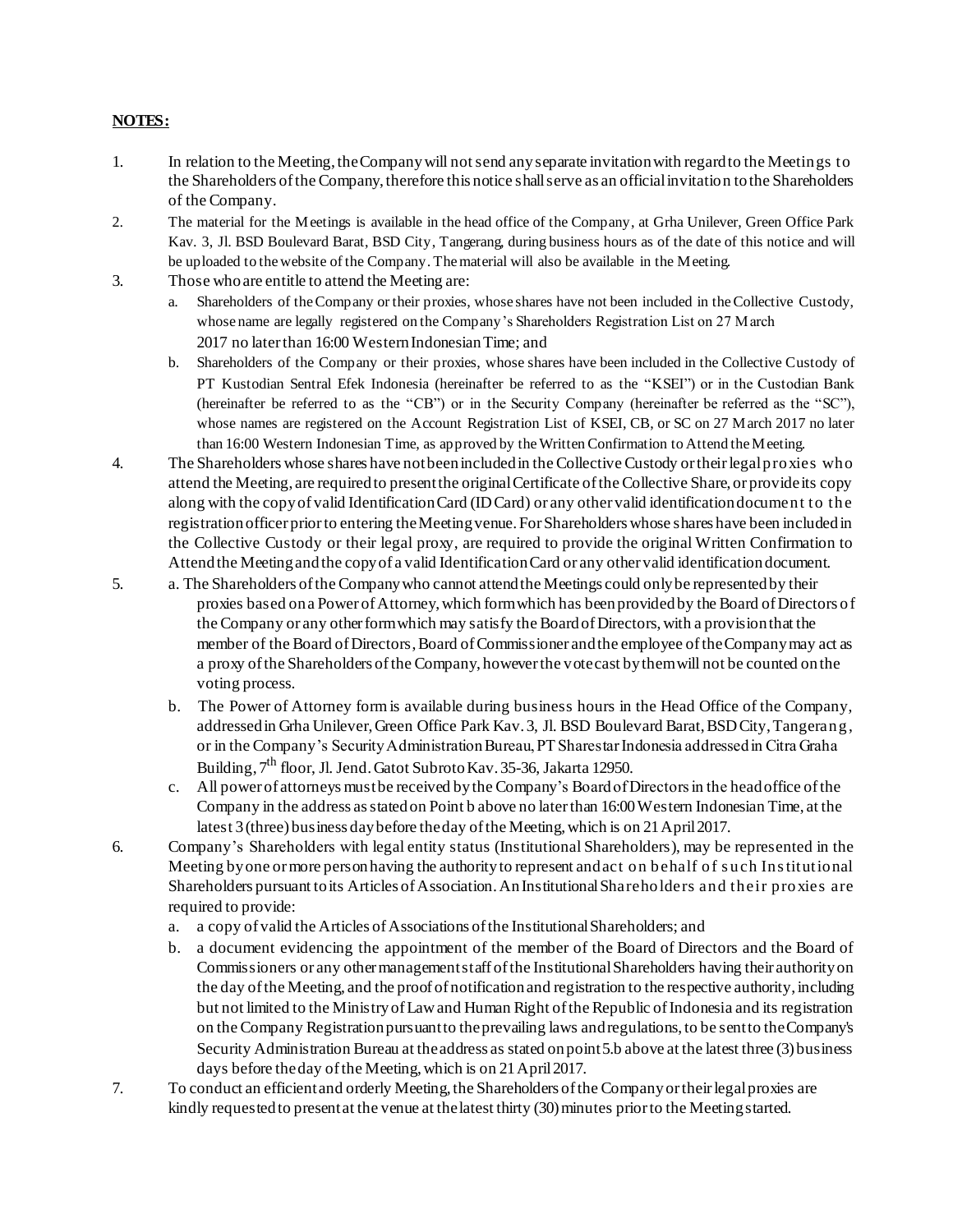## **NOTES:**

- 1. In relation to the Meeting, the Company will not send any separate invitation with regard to the Meetings to the Shareholders of the Company, therefore this notice shall serve as an official invitation to the Shareholders of the Company.
- 2. The material for the Meetings is available in the head office of the Company, at Grha Unilever, Green Office Park Kav. 3, Jl. BSD Boulevard Barat, BSD City, Tangerang, during business hours as of the date of this notice and will be uploaded to the website of the Company. The material will also be available in the Meeting.
- 3. Those who are entitle to attend the Meeting are:
	- a. Shareholders of the Company or their proxies, whose shares have not been included in the Collective Custody, whose name are legally registered on the Company's Shareholders Registration List on 27 March 2017 no later than 16:00 Western Indonesian Time; and
	- b. Shareholders of the Company or their proxies, whose shares have been included in the Collective Custody of PT Kustodian Sentral Efek Indonesia (hereinafter be referred to as the "KSEI") or in the Custodian Bank (hereinafter be referred to as the "CB") or in the Security Company (hereinafter be referred as the "SC"), whose names are registered on the Account Registration List of KSEI, CB, or SC on 27 March 2017 no later than 16:00 Western Indonesian Time, as approved by the Written Confirmation to Attend the Meeting.
- 4. The Shareholders whose shares have not been included in the Collective Custody or their legal proxies who attend the Meeting, are required to present the original Certificate of the Collective Share, or provide its copy along with the copy of valid Identification Card (ID Card) or any other valid identification document to the registration officer prior to entering the Meeting venue. For Shareholders whose shares have been included in the Collective Custody or their legal proxy, are required to provide the original Written Confirmation to Attend the Meeting and the copy of a valid Identification Card or any other valid identification document.
- 5. a. The Shareholders of the Company who cannot attend the Meetings could only be represented by their proxies based on a Power of Attorney, which form which has been provided by the Board of Directors of the Company or any other form which may satisfy the Board of Directors, with a provision that the member of the Board of Directors, Board of Commissioner and the employee of the Company may act as a proxy of the Shareholders of the Company, however the vote cast by them will not be counted on the voting process.
	- b. The Power of Attorney form is available during business hours in the Head Office of the Company, addressed in Grha Unilever, Green Office Park Kav. 3, Jl. BSD Boulevard Barat, BSD City, Tangerang, or in the Company's Security Administration Bureau, PT Sharestar Indonesia addressed in Citra Graha Building,  $7<sup>th</sup>$  floor, Jl. Jend. Gatot Subroto Kay, 35-36, Jakarta 12950.
	- c. All power of attorneys must be received by the Company's Board of Directors in the head office of the Company in the address as stated on Point b above no later than 16:00 Western Indonesian Time, at the latest 3 (three) business day before the day of the Meeting, which is on 21 April 2017.
- 6. Company's Shareholders with legal entity status (Institutional Shareholders), may be represented in the Meeting by one or more person having the authority to represent and act on behalf of s uch Ins titutional Shareholders pursuant to its Articles of Association. An Institutional Shareholders and their proxies are required to provide:
	- a. a copy of valid the Articles of Associations of the Institutional Shareholders; and
	- b. a document evidencing the appointment of the member of the Board of Directors and the Board of Commissioners or any other management staff of the Institutional Shareholders having their authority on the day of the Meeting, and the proof of notification and registration to the respective authority, including but not limited to the Ministry of Law and Human Right of the Republic of Indonesia and its registration on the Company Registration pursuant to the prevailing laws and regulations, to be sent to the Company's Security Administration Bureau at the address as stated on point 5.b above at the latest three (3) business days before the day of the Meeting, which is on 21 April 2017.
- 7. To conduct an efficient and orderly Meeting, the Shareholders of the Company or their legal proxies are kindly requested to present at the venue at the latest thirty (30) minutes prior to the Meeting started.